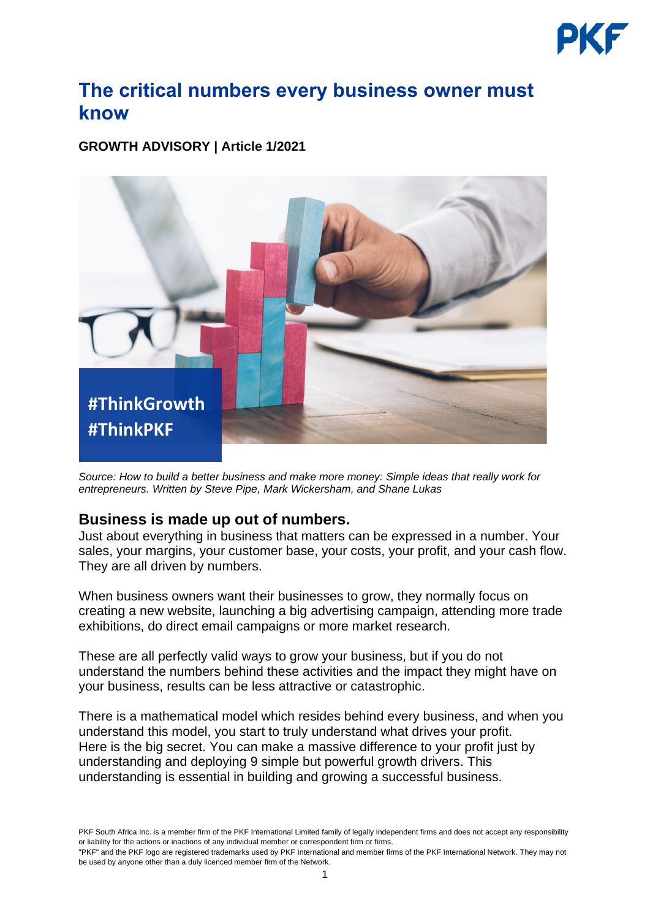

# **The critical numbers every business owner must know**

**GROWTH ADVISORY | Article 1/2021**



*Source: How to build a better business and make more money: Simple ideas that really work for entrepreneurs. Written by Steve Pipe, Mark Wickersham, and Shane Lukas*

## **Business is made up out of numbers.**

Just about everything in business that matters can be expressed in a number. Your sales, your margins, your customer base, your costs, your profit, and your cash flow. They are all driven by numbers.

When business owners want their businesses to grow, they normally focus on creating a new website, launching a big advertising campaign, attending more trade exhibitions, do direct email campaigns or more market research.

These are all perfectly valid ways to grow your business, but if you do not understand the numbers behind these activities and the impact they might have on your business, results can be less attractive or catastrophic.

There is a mathematical model which resides behind every business, and when you understand this model, you start to truly understand what drives your profit. Here is the big secret. You can make a massive difference to your profit just by understanding and deploying 9 simple but powerful growth drivers. This understanding is essential in building and growing a successful business.

PKF South Africa Inc. is a member firm of the [PKF International Limited](https://www.pkf.com/) family of legally independent firms and does not accept any responsibility or liability for the actions or inactions of any individual member or correspondent firm or firms.

<sup>&</sup>quot;PKF" and the PKF logo are registered trademarks used by PKF International and member firms of the PKF International Network. They may not be used by anyone other than a duly licenced member firm of the Network.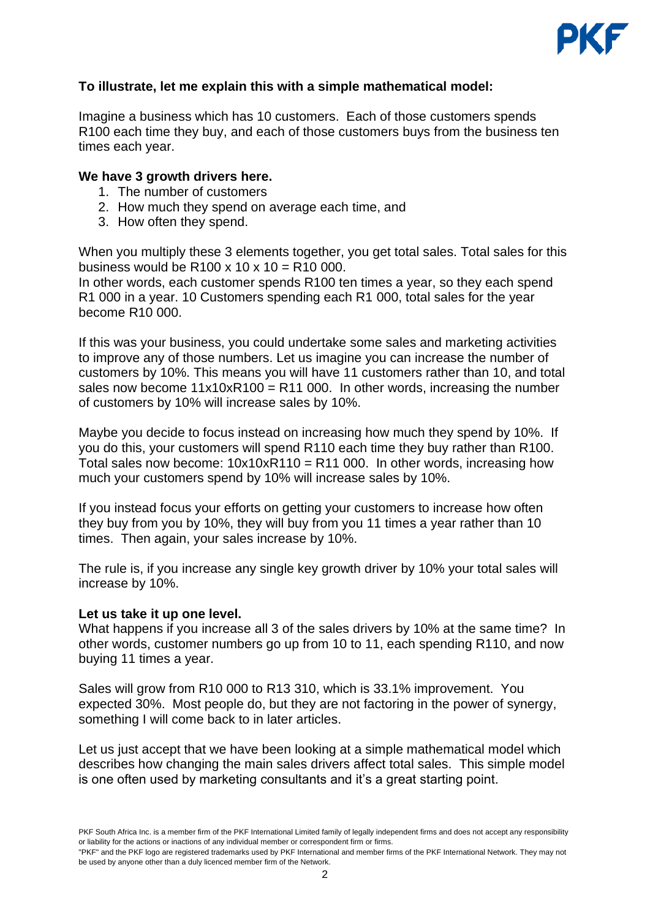

## **To illustrate, let me explain this with a simple mathematical model:**

Imagine a business which has 10 customers. Each of those customers spends R100 each time they buy, and each of those customers buys from the business ten times each year.

### **We have 3 growth drivers here.**

- 1. The number of customers
- 2. How much they spend on average each time, and
- 3. How often they spend.

When you multiply these 3 elements together, you get total sales. Total sales for this business would be  $R100 \times 10 \times 10 = R10000$ .

In other words, each customer spends R100 ten times a year, so they each spend R1 000 in a year. 10 Customers spending each R1 000, total sales for the year become R10 000.

If this was your business, you could undertake some sales and marketing activities to improve any of those numbers. Let us imagine you can increase the number of customers by 10%. This means you will have 11 customers rather than 10, and total sales now become  $11x10xR100 = R11000$ . In other words, increasing the number of customers by 10% will increase sales by 10%.

Maybe you decide to focus instead on increasing how much they spend by 10%. If you do this, your customers will spend R110 each time they buy rather than R100. Total sales now become:  $10x10xR110 = R11000$ . In other words, increasing how much your customers spend by 10% will increase sales by 10%.

If you instead focus your efforts on getting your customers to increase how often they buy from you by 10%, they will buy from you 11 times a year rather than 10 times. Then again, your sales increase by 10%.

The rule is, if you increase any single key growth driver by 10% your total sales will increase by 10%.

#### **Let us take it up one level.**

What happens if you increase all 3 of the sales drivers by 10% at the same time? In other words, customer numbers go up from 10 to 11, each spending R110, and now buying 11 times a year.

Sales will grow from R10 000 to R13 310, which is 33.1% improvement. You expected 30%. Most people do, but they are not factoring in the power of synergy, something I will come back to in later articles.

Let us just accept that we have been looking at a simple mathematical model which describes how changing the main sales drivers affect total sales. This simple model is one often used by marketing consultants and it's a great starting point.

PKF South Africa Inc. is a member firm of the [PKF International Limited](https://www.pkf.com/) family of legally independent firms and does not accept any responsibility or liability for the actions or inactions of any individual member or correspondent firm or firms.

<sup>&</sup>quot;PKF" and the PKF logo are registered trademarks used by PKF International and member firms of the PKF International Network. They may not be used by anyone other than a duly licenced member firm of the Network.